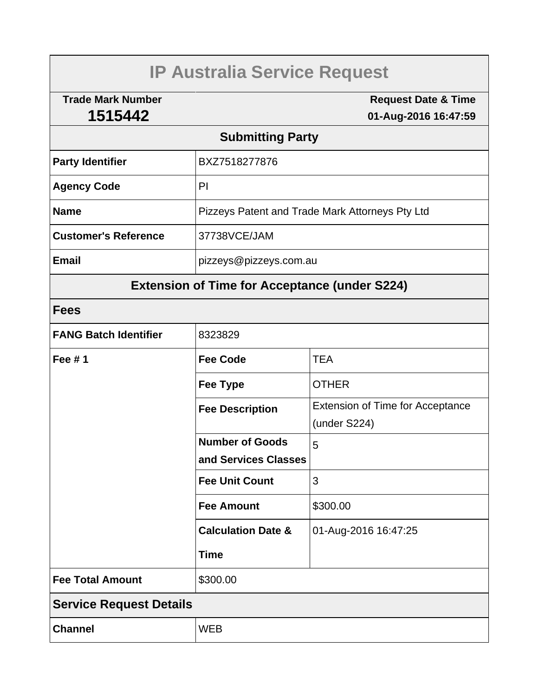# **IP Australia Service Request**

**Trade Mark Number 1515442**

**Request Date & Time 01-Aug-2016 16:47:59**

## **Submitting Party**

| <b>Party Identifier</b>     | BXZ7518277876                                   |  |
|-----------------------------|-------------------------------------------------|--|
| <b>Agency Code</b>          | PI                                              |  |
| <b>Name</b>                 | Pizzeys Patent and Trade Mark Attorneys Pty Ltd |  |
| <b>Customer's Reference</b> | 37738VCE/JAM                                    |  |
| <b>Email</b>                | pizzeys@pizzeys.com.au                          |  |

# **Extension of Time for Acceptance (under S224)**

## **Fees**

| <b>FANG Batch Identifier</b>   | 8323829                       |                                         |  |  |
|--------------------------------|-------------------------------|-----------------------------------------|--|--|
| Fee $# 1$                      | <b>Fee Code</b>               | <b>TEA</b>                              |  |  |
|                                | <b>Fee Type</b>               | <b>OTHER</b>                            |  |  |
|                                | <b>Fee Description</b>        | <b>Extension of Time for Acceptance</b> |  |  |
|                                |                               | (under S224)                            |  |  |
|                                | <b>Number of Goods</b>        | 5                                       |  |  |
|                                | and Services Classes          |                                         |  |  |
|                                | <b>Fee Unit Count</b>         | 3                                       |  |  |
|                                | <b>Fee Amount</b>             | \$300.00                                |  |  |
|                                | <b>Calculation Date &amp;</b> | 01-Aug-2016 16:47:25                    |  |  |
|                                | <b>Time</b>                   |                                         |  |  |
| <b>Fee Total Amount</b>        | \$300.00                      |                                         |  |  |
| <b>Service Request Details</b> |                               |                                         |  |  |
| <b>Channel</b>                 | <b>WEB</b>                    |                                         |  |  |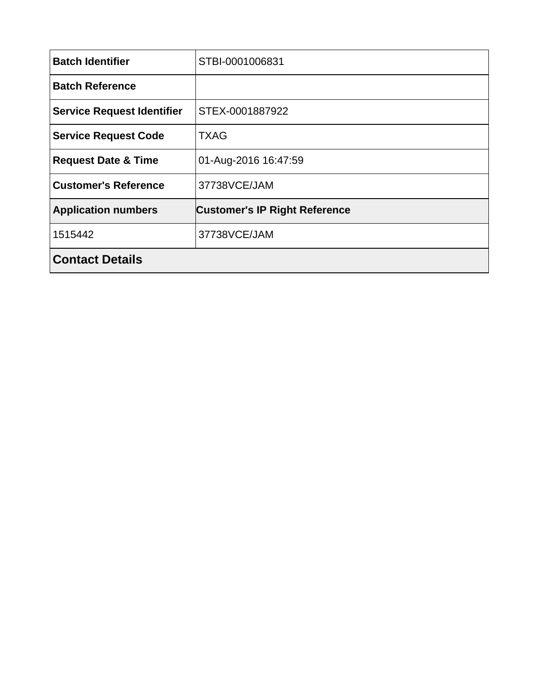| <b>Batch Identifier</b>           | STBI-0001006831                      |  |
|-----------------------------------|--------------------------------------|--|
| <b>Batch Reference</b>            |                                      |  |
| <b>Service Request Identifier</b> | STEX-0001887922                      |  |
| <b>Service Request Code</b>       | <b>TXAG</b>                          |  |
| <b>Request Date &amp; Time</b>    | 01-Aug-2016 16:47:59                 |  |
| <b>Customer's Reference</b>       | 37738VCE/JAM                         |  |
| <b>Application numbers</b>        | <b>Customer's IP Right Reference</b> |  |
| 1515442                           | 37738VCE/JAM                         |  |
| <b>Contact Details</b>            |                                      |  |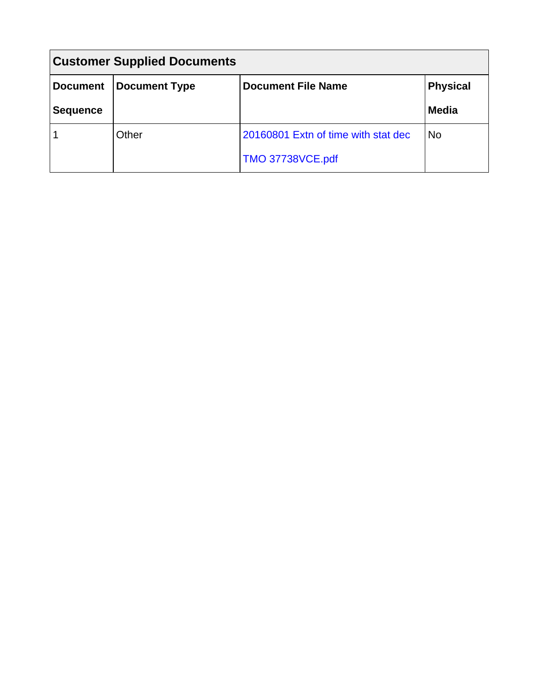| <b>Customer Supplied Documents</b> |                      |                                     |                 |  |  |
|------------------------------------|----------------------|-------------------------------------|-----------------|--|--|
| <b>Document</b>                    | <b>Document Type</b> | <b>Document File Name</b>           | <b>Physical</b> |  |  |
| <b>Sequence</b>                    |                      |                                     | <b>Media</b>    |  |  |
|                                    | Other                | 20160801 Extn of time with stat dec | <b>No</b>       |  |  |
|                                    |                      | <b>TMO 37738VCE.pdf</b>             |                 |  |  |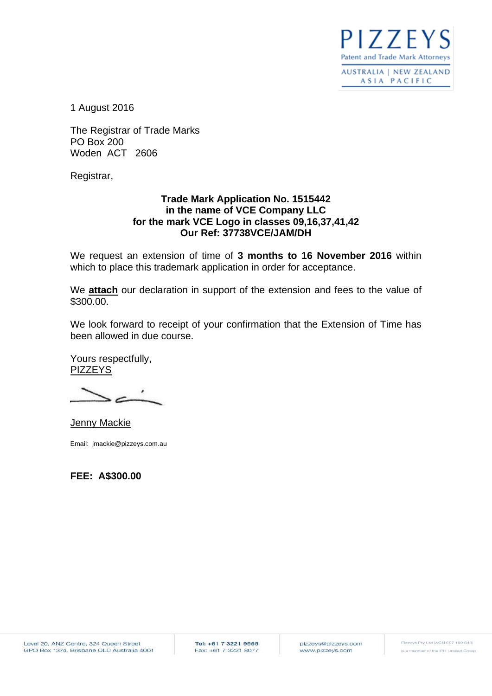$177F$ **Patent and Trade Mark Attorneys** 

**AUSTRALIA | NEW ZEALAND** ASIA PACIFIC

1 August 2016

The Registrar of Trade Marks PO Box 200 Woden ACT 2606

Registrar,

#### **Trade Mark Application No. 1515442 in the name of VCE Company LLC for the mark VCE Logo in classes 09,16,37,41,42 Our Ref: 37738VCE/JAM/DH**

We request an extension of time of **3 months to 16 November 2016** within which to place this trademark application in order for acceptance.

We **attach** our declaration in support of the extension and fees to the value of \$300.00.

We look forward to receipt of your confirmation that the Extension of Time has been allowed in due course.

Yours respectfully, PIZZEYS

Jenny Mackie

Email: jmackie@pizzeys.com.au

**FEE: A\$300.00**